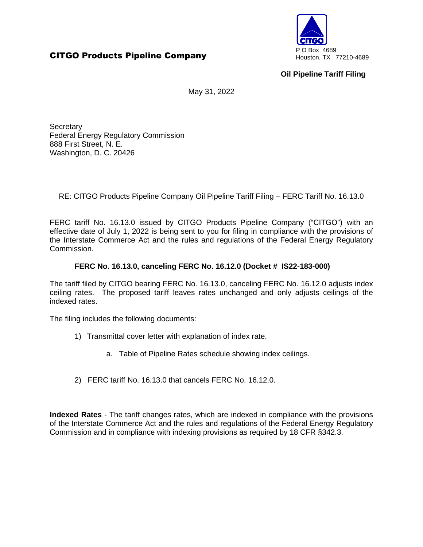# **CITGO Products Pipeline Company** PO Box 4689



## **Oil Pipeline Tariff Filing**

May 31, 2022

**Secretary** Federal Energy Regulatory Commission 888 First Street, N. E. Washington, D. C. 20426

RE: CITGO Products Pipeline Company Oil Pipeline Tariff Filing – FERC Tariff No. 16.13.0

FERC tariff No. 16.13.0 issued by CITGO Products Pipeline Company ("CITGO") with an effective date of July 1, 2022 is being sent to you for filing in compliance with the provisions of the Interstate Commerce Act and the rules and regulations of the Federal Energy Regulatory Commission.

## **FERC No. 16.13.0, canceling FERC No. 16.12.0 (Docket # IS22-183-000)**

The tariff filed by CITGO bearing FERC No. 16.13.0, canceling FERC No. 16.12.0 adjusts index ceiling rates. The proposed tariff leaves rates unchanged and only adjusts ceilings of the indexed rates.

The filing includes the following documents:

- 1) Transmittal cover letter with explanation of index rate.
	- a. Table of Pipeline Rates schedule showing index ceilings.
- 2) FERC tariff No. 16.13.0 that cancels FERC No. 16.12.0.

**Indexed Rates** - The tariff changes rates, which are indexed in compliance with the provisions of the Interstate Commerce Act and the rules and regulations of the Federal Energy Regulatory Commission and in compliance with indexing provisions as required by 18 CFR §342.3.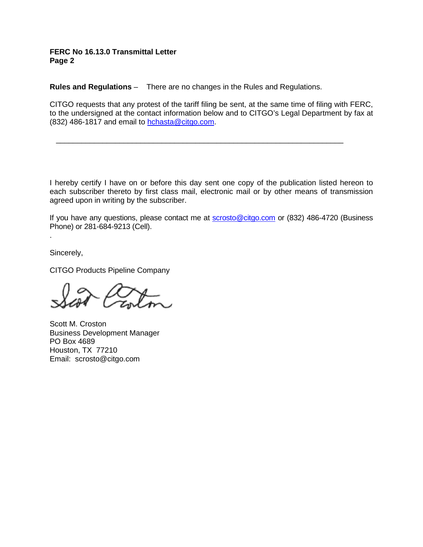#### **FERC No 16.13.0 Transmittal Letter Page 2**

**Rules and Regulations** – There are no changes in the Rules and Regulations.

CITGO requests that any protest of the tariff filing be sent, at the same time of filing with FERC, to the undersigned at the contact information below and to CITGO's Legal Department by fax at (832) 486-1817 and email to hchasta@citgo.com.

\_\_\_\_\_\_\_\_\_\_\_\_\_\_\_\_\_\_\_\_\_\_\_\_\_\_\_\_\_\_\_\_\_\_\_\_\_\_\_\_\_\_\_\_\_\_\_\_\_\_\_\_\_\_\_\_\_\_\_\_\_\_\_\_\_\_\_\_

I hereby certify I have on or before this day sent one copy of the publication listed hereon to each subscriber thereto by first class mail, electronic mail or by other means of transmission agreed upon in writing by the subscriber.

If you have any questions, please contact me at **scrosto@citgo.com** or (832) 486-4720 (Business Phone) or 281-684-9213 (Cell).

Sincerely,

.

CITGO Products Pipeline Company

Scott M. Croston Business Development Manager PO Box 4689 Houston, TX 77210 Email: scrosto@citgo.com